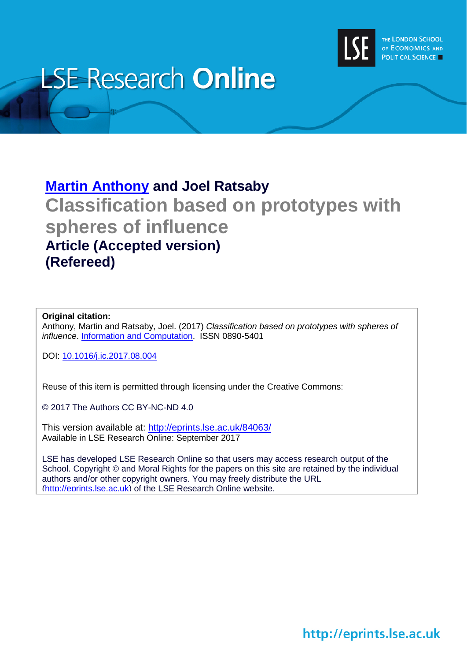

# **LSE Research Online**

# **[Martin Anthony](http://www.lse.ac.uk/researchAndExpertise/Experts/profile.aspx?KeyValue=m.anthony@lse.ac.uk) and Joel Ratsaby Classification based on prototypes with spheres of influence Article (Accepted version) (Refereed)**

### **Original citation:**

Anthony, Martin and Ratsaby, Joel. (2017) *Classification based on prototypes with spheres of influence*. [Information and Computation.](https://www.journals.elsevier.com/information-and-computation) ISSN 0890-5401

DOI: 10.1016/j.ic.2017.08.004

Reuse of this item is permitted through licensing under the Creative Commons:

© 2017 The Authors CC BY-NC-ND 4.0

This version available at: <http://eprints.lse.ac.uk/84063/> Available in LSE Research Online: September 2017

LSE has developed LSE Research Online so that users may access research output of the School. Copyright © and Moral Rights for the papers on this site are retained by the individual authors and/or other copyright owners. You may freely distribute the URL (http://eprints.lse.ac.uk) of the LSE Research Online website.

http://eprints.lse.ac.uk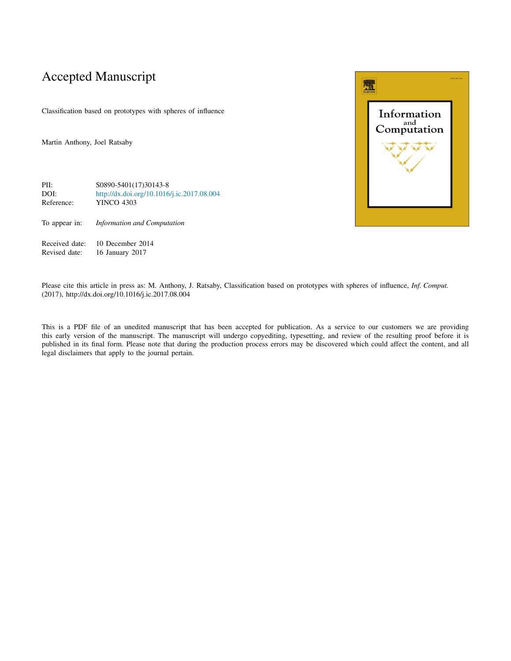# Accepted Manuscript

Classification based on prototypes with spheres of influence

Martin Anthony, Joel Ratsaby



To appear in: *Information and Computation*

Received date: 10 December 2014<br>Revised date: 16 January 2017 16 January 2017



Please cite this article in press as: M. Anthony, J. Ratsaby, Classification based on prototypes with spheres of influence, *Inf. Comput.* (2017), http://dx.doi.org/10.1016/j.ic.2017.08.004

This is a PDF file of an unedited manuscript that has been accepted for publication. As a service to our customers we are providing this early version of the manuscript. The manuscript will undergo copyediting, typesetting, and review of the resulting proof before it is published in its final form. Please note that during the production process errors may be discovered which could affect the content, and all legal disclaimers that apply to the journal pertain.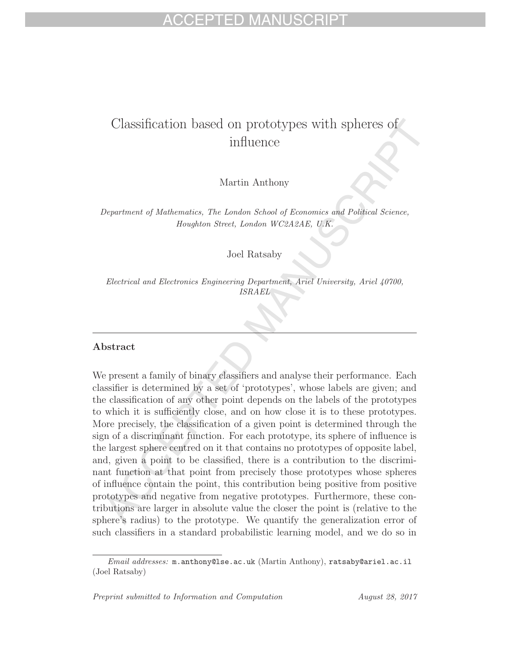# Classification based on prototypes with spheres of influence

Martin Anthony

Department of Mathematics, The London School of Economics and Political Science, Houghton Street, London WC2A2AE, U.K.

Joel Ratsaby

Electrical and Electronics Engineering Department, Ariel University, Ariel 40700, ISRAEL

### **Abstract**

We present a family of binary classifiers and analyse their performance. Each classifier is determined by a set of 'prototypes', whose labels are given; and the classification of any other point depends on the labels of the prototypes to which it is sufficiently close, and on how close it is to these prototypes. More precisely, the classification of a given point is determined through the sign of a discriminant function. For each prototype, its sphere of influence is the largest sphere centred on it that contains no prototypes of opposite label, and, given a point to be classified, there is a contribution to the discriminant function at that point from precisely those prototypes whose spheres of influence contain the point, this contribution being positive from positive prototypes and negative from negative prototypes. Furthermore, these contributions are larger in absolute value the closer the point is (relative to the sphere's radius) to the prototype. We quantify the generalization error of such classifiers in a standard probabilistic learning model, and we do so in

Email addresses: m.anthony@lse.ac.uk (Martin Anthony), ratsaby@ariel.ac.il (Joel Ratsaby)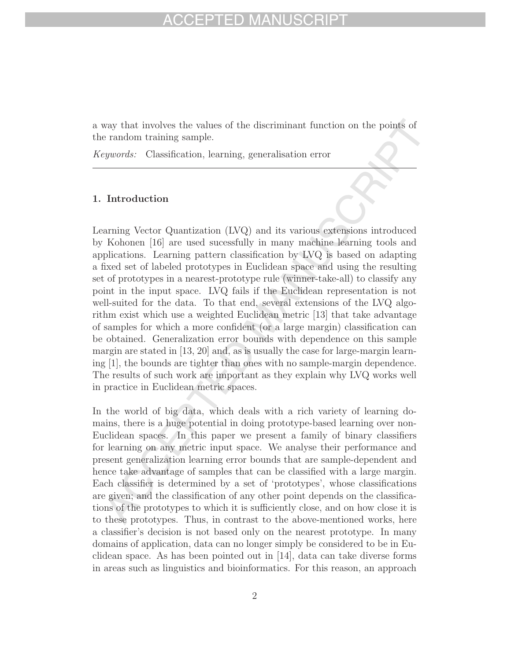a way that involves the values of the discriminant function on the points of the random training sample.

Keywords: Classification, learning, generalisation error

### **1. Introduction**

Learning Vector Quantization (LVQ) and its various extensions introduced by Kohonen [16] are used sucessfully in many machine learning tools and applications. Learning pattern classification by LVQ is based on adapting a fixed set of labeled prototypes in Euclidean space and using the resulting set of prototypes in a nearest-prototype rule (winner-take-all) to classify any point in the input space. LVQ fails if the Euclidean representation is not well-suited for the data. To that end, several extensions of the LVQ algorithm exist which use a weighted Euclidean metric [13] that take advantage of samples for which a more confident (or a large margin) classification can be obtained. Generalization error bounds with dependence on this sample margin are stated in  $[13, 20]$  and, as is usually the case for large-margin learning [1], the bounds are tighter than ones with no sample-margin dependence. The results of such work are important as they explain why LVQ works well in practice in Euclidean metric spaces.

In the world of big data, which deals with a rich variety of learning domains, there is a huge potential in doing prototype-based learning over non-Euclidean spaces. In this paper we present a family of binary classifiers for learning on any metric input space. We analyse their performance and present generalization learning error bounds that are sample-dependent and hence take advantage of samples that can be classified with a large margin. Each classifier is determined by a set of 'prototypes', whose classifications are given; and the classification of any other point depends on the classifications of the prototypes to which it is sufficiently close, and on how close it is to these prototypes. Thus, in contrast to the above-mentioned works, here a classifier's decision is not based only on the nearest prototype. In many domains of application, data can no longer simply be considered to be in Euclidean space. As has been pointed out in  $[14]$ , data can take diverse forms in areas such as linguistics and bioinformatics. For this reason, an approach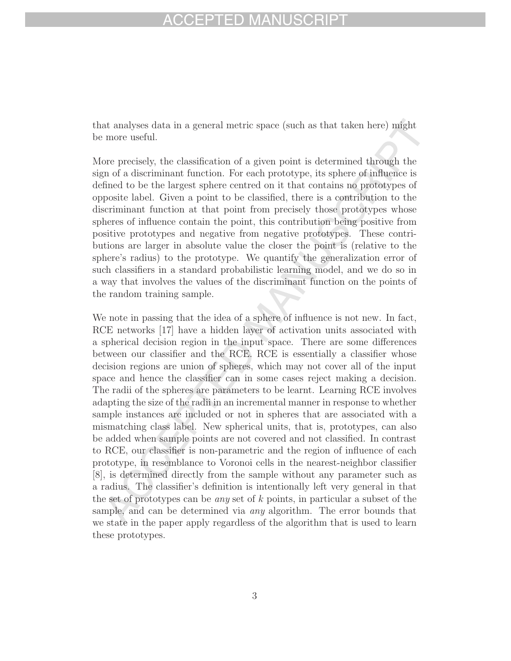# FPTED MA

that analyses data in a general metric space (such as that taken here) might be more useful.

More precisely, the classification of a given point is determined through the sign of a discriminant function. For each prototype, its sphere of influence is defined to be the largest sphere centred on it that contains no prototypes of opposite label. Given a point to be classified, there is a contribution to the discriminant function at that point from precisely those prototypes whose spheres of influence contain the point, this contribution being positive from positive prototypes and negative from negative prototypes. These contributions are larger in absolute value the closer the point is (relative to the sphere's radius) to the prototype. We quantify the generalization error of such classifiers in a standard probabilistic learning model, and we do so in a way that involves the values of the discriminant function on the points of the random training sample.

We note in passing that the idea of a sphere of influence is not new. In fact, RCE networks [17] have a hidden layer of activation units associated with a spherical decision region in the input space. There are some differences between our classifier and the RCE. RCE is essentially a classifier whose decision regions are union of spheres, which may not cover all of the input space and hence the classifier can in some cases reject making a decision. The radii of the spheres are parameters to be learnt. Learning RCE involves adapting the size of the radii in an incremental manner in response to whether sample instances are included or not in spheres that are associated with a mismatching class label. New spherical units, that is, prototypes, can also be added when sample points are not covered and not classified. In contrast to RCE, our classifier is non-parametric and the region of influence of each prototype, in resemblance to Voronoi cells in the nearest-neighbor classifier [8], is determined directly from the sample without any parameter such as a radius. The classifier's definition is intentionally left very general in that the set of prototypes can be any set of k points, in particular a subset of the sample, and can be determined via *any* algorithm. The error bounds that we state in the paper apply regardless of the algorithm that is used to learn these prototypes.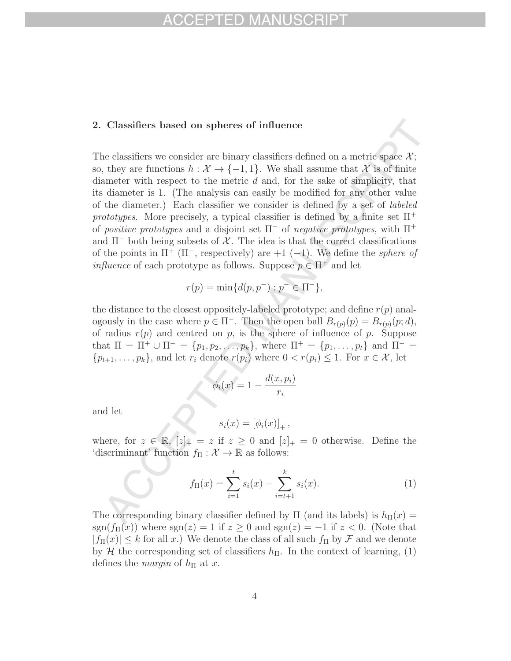### **2. Classifiers based on spheres of influence**

The classifiers we consider are binary classifiers defined on a metric space  $\mathcal{X}$ ; so, they are functions  $h : \mathcal{X} \to \{-1,1\}$ . We shall assume that X is of finite diameter with respect to the metric  $d$  and, for the sake of simplicity, that its diameter is 1. (The analysis can easily be modified for any other value of the diameter.) Each classifier we consider is defined by a set of labeled prototypes. More precisely, a typical classifier is defined by a finite set  $\Pi^+$ of positive prototypes and a disjoint set  $\Pi^-$  of negative prototypes, with  $\Pi^+$ and  $\Pi^-$  both being subsets of X. The idea is that the correct classifications of the points in  $\Pi^+$  ( $\Pi^-$ , respectively) are +1 (-1). We define the *sphere of influence* of each prototype as follows. Suppose  $p \in \Pi^+$  and let

$$
r(p) = \min\{d(p, p^-) : p^- \in \Pi^-\},\
$$

the distance to the closest oppositely-labeled prototype; and define  $r(p)$  analogously in the case where  $p \in \Pi^-$ . Then the open ball  $B_{r(p)}(p) = B_{r(p)}(p; d)$ , of radius  $r(p)$  and centred on p, is the sphere of influence of p. Suppose that  $\Pi = \Pi^+ \cup \Pi^- = \{p_1, p_2, \ldots, p_k\}$ , where  $\Pi^+ = \{p_1, \ldots, p_t\}$  and  $\Pi^- =$  $\{p_{t+1},\ldots,p_k\}$ , and let  $r_i$  denote  $r(p_i)$  where  $0 < r(p_i) \leq 1$ . For  $x \in \mathcal{X}$ , let

$$
\phi_i(x) = 1 - \frac{d(x, p_i)}{r_i}
$$

and let

$$
s_i(x) = [\phi_i(x)]_+,
$$

where, for  $z \in \mathbb{R}$ ,  $[z]_+ = z$  if  $z \geq 0$  and  $[z]_+ = 0$  otherwise. Define the 'discriminant' function  $f_{\Pi}: \mathcal{X} \to \mathbb{R}$  as follows:

$$
f_{\Pi}(x) = \sum_{i=1}^{t} s_i(x) - \sum_{i=t+1}^{k} s_i(x).
$$
 (1)

The corresponding binary classifier defined by  $\Pi$  (and its labels) is  $h_{\Pi}(x) =$  $sgn(f_\Pi(x))$  where  $sgn(z) = 1$  if  $z \ge 0$  and  $sgn(z) = -1$  if  $z < 0$ . (Note that  $|f_{\Pi}(x)| \leq k$  for all x.) We denote the class of all such  $f_{\Pi}$  by F and we denote by H the corresponding set of classifiers  $h_{\Pi}$ . In the context of learning, (1) defines the *margin* of  $h_{\Pi}$  at x.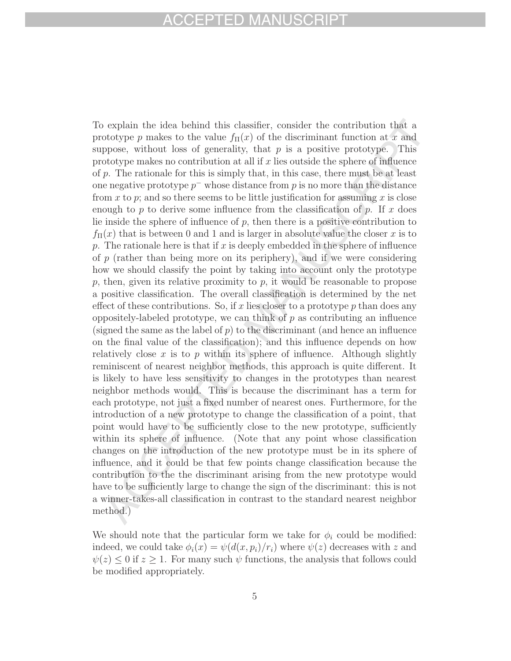# CEPTED MAN

To explain the idea behind this classifier, consider the contribution that a prototype p makes to the value  $f_{\Pi}(x)$  of the discriminant function at x and suppose, without loss of generality, that  $p$  is a positive prototype. This prototype makes no contribution at all if  $x$  lies outside the sphere of influence of p. The rationale for this is simply that, in this case, there must be at least one negative prototype  $p^-$  whose distance from p is no more than the distance from x to p; and so there seems to be little justification for assuming x is close enough to p to derive some influence from the classification of p. If x does lie inside the sphere of influence of  $p$ , then there is a positive contribution to  $f_{\Pi}(x)$  that is between 0 and 1 and is larger in absolute value the closer x is to p. The rationale here is that if x is deeply embedded in the sphere of influence of  $p$  (rather than being more on its periphery), and if we were considering how we should classify the point by taking into account only the prototype  $p$ , then, given its relative proximity to  $p$ , it would be reasonable to propose a positive classification. The overall classification is determined by the net effect of these contributions. So, if x lies closer to a prototype  $p$  than does any oppositely-labeled prototype, we can think of  $p$  as contributing an influence (signed the same as the label of  $p$ ) to the discriminant (and hence an influence on the final value of the classification); and this influence depends on how relatively close x is to p within its sphere of influence. Although slightly reminiscent of nearest neighbor methods, this approach is quite different. It is likely to have less sensitivity to changes in the prototypes than nearest neighbor methods would. This is because the discriminant has a term for each prototype, not just a fixed number of nearest ones. Furthermore, for the introduction of a new prototype to change the classification of a point, that point would have to be sufficiently close to the new prototype, sufficiently within its sphere of influence. (Note that any point whose classification changes on the introduction of the new prototype must be in its sphere of influence, and it could be that few points change classification because the contribution to the the discriminant arising from the new prototype would have to be sufficiently large to change the sign of the discriminant: this is not a winner-takes-all classification in contrast to the standard nearest neighbor method.)

We should note that the particular form we take for  $\phi_i$  could be modified: indeed, we could take  $\phi_i(x) = \psi(d(x, p_i)/r_i)$  where  $\psi(z)$  decreases with z and  $\psi(z) \leq 0$  if  $z \geq 1$ . For many such  $\psi$  functions, the analysis that follows could be modified appropriately.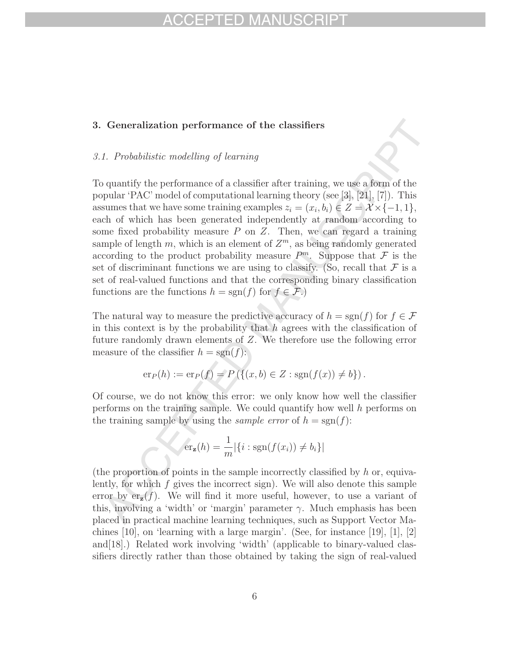### **3. Generalization performance of the classifiers**

### 3.1. Probabilistic modelling of learning

To quantify the performance of a classifier after training, we use a form of the popular 'PAC' model of computational learning theory (see [3], [21], [7]). This assumes that we have some training examples  $z_i = (x_i, b_i) \in Z = \mathcal{X} \times \{-1, 1\},\$ each of which has been generated independently at random according to some fixed probability measure  $P$  on  $Z$ . Then, we can regard a training sample of length m, which is an element of  $Z^m$ , as being randomly generated according to the product probability measure  $P^m$ . Suppose that F is the set of discriminant functions we are using to classify. (So, recall that  $\mathcal F$  is a set of real-valued functions and that the corresponding binary classification functions are the functions  $h = sgn(f)$  for  $f \in \mathcal{F}$ .

The natural way to measure the predictive accuracy of  $h = sgn(f)$  for  $f \in \mathcal{F}$ in this context is by the probability that  $h$  agrees with the classification of future randomly drawn elements of Z. We therefore use the following error measure of the classifier  $h = sgn(f)$ :

$$
er_P(h) := er_P(f) = P(\{(x, b) \in Z : sgn(f(x)) \neq b\}).
$$

Of course, we do not know this error: we only know how well the classifier performs on the training sample. We could quantify how well h performs on the training sample by using the *sample error* of  $h = sgn(f)$ :

$$
\operatorname{er}_{\mathbf{z}}(h) = \frac{1}{m} |\{i : \operatorname{sgn}(f(x_i)) \neq b_i\}|
$$

(the proportion of points in the sample incorrectly classified by  $h$  or, equivalently, for which f gives the incorrect sign). We will also denote this sample error by  $er_{\mathbf{z}}(f)$ . We will find it more useful, however, to use a variant of this, involving a 'width' or 'margin' parameter  $\gamma$ . Much emphasis has been placed in practical machine learning techniques, such as Support Vector Machines [10], on 'learning with a large margin'. (See, for instance [19], [1], [2] and[18].) Related work involving 'width' (applicable to binary-valued classifiers directly rather than those obtained by taking the sign of real-valued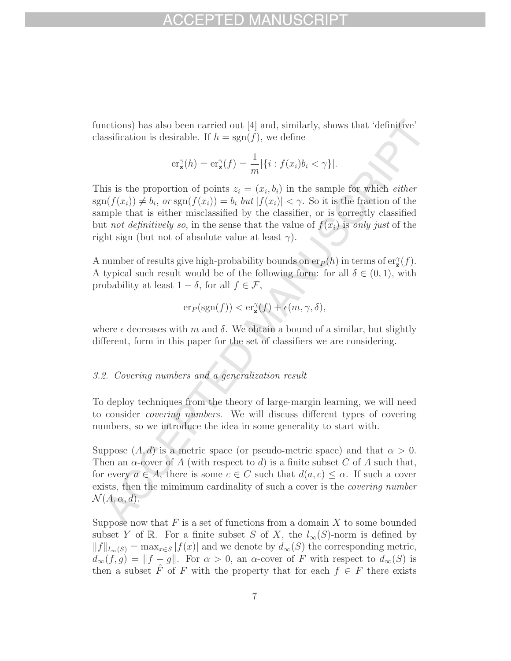functions) has also been carried out [4] and, similarly, shows that 'definitive' classification is desirable. If  $h = sgn(f)$ , we define

$$
\mathrm{er}_{\mathbf{z}}^{\gamma}(h) = \mathrm{er}_{\mathbf{z}}^{\gamma}(f) = \frac{1}{m} |\{i : f(x_i)b_i < \gamma\}|.
$$

This is the proportion of points  $z_i = (x_i, b_i)$  in the sample for which *either*  $sgn(f(x_i)) \neq b_i$ , or  $sgn(f(x_i)) = b_i$  but  $|f(x_i)| < \gamma$ . So it is the fraction of the sample that is either misclassified by the classifier, or is correctly classified but not definitively so, in the sense that the value of  $f(x_i)$  is only just of the right sign (but not of absolute value at least  $\gamma$ ).

A number of results give high-probability bounds on  $er_P(h)$  in terms of  $er_{\mathbf{z}}^{\gamma}(f)$ . A typical such result would be of the following form: for all  $\delta \in (0,1)$ , with probability at least  $1 - \delta$ , for all  $f \in \mathcal{F}$ ,

$$
\mathrm{er}_P(\mathrm{sgn}(f)) < \mathrm{er}_{\mathbf{z}}^{\gamma}(f) + \epsilon(m, \gamma, \delta),
$$

where  $\epsilon$  decreases with m and  $\delta$ . We obtain a bound of a similar, but slightly different, form in this paper for the set of classifiers we are considering.

### 3.2. Covering numbers and a generalization result

To deploy techniques from the theory of large-margin learning, we will need to consider covering numbers. We will discuss different types of covering numbers, so we introduce the idea in some generality to start with.

Suppose  $(A, d)$  is a metric space (or pseudo-metric space) and that  $\alpha > 0$ . Then an  $\alpha$ -cover of A (with respect to d) is a finite subset C of A such that, for every  $a \in A$ , there is some  $c \in C$  such that  $d(a, c) \leq \alpha$ . If such a cover exists, then the mimimum cardinality of such a cover is the *covering number*  $\mathcal{N}(A,\alpha,d).$ 

Suppose now that  $F$  is a set of functions from a domain  $X$  to some bounded subset Y of R. For a finite subset S of X, the  $l_{\infty}(S)$ -norm is defined by  $||f||_{l_{\infty}(S)} = \max_{x \in S} |f(x)|$  and we denote by  $d_{\infty}(S)$  the corresponding metric,  $d_{\infty}(f,g) = ||f - g||$ . For  $\alpha > 0$ , an  $\alpha$ -cover of F with respect to  $d_{\infty}(S)$  is then a subset  $\hat{F}$  of F with the property that for each  $f \in F$  there exists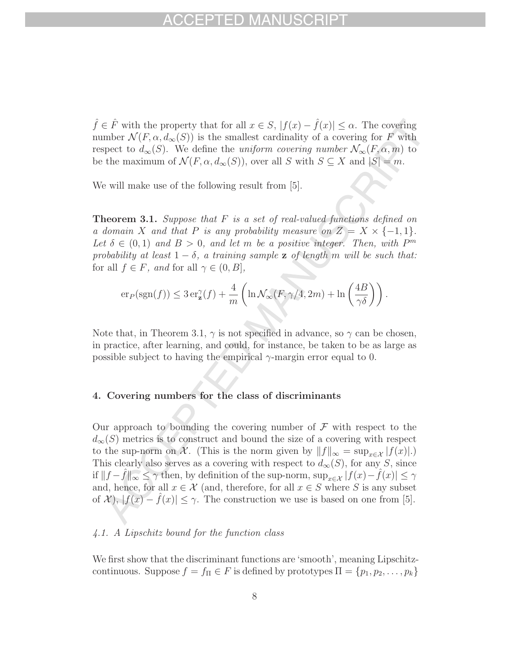$\hat{f} \in \hat{F}$  with the property that for all  $x \in S$ ,  $|f(x) - \hat{f}(x)| \leq \alpha$ . The covering number  $\mathcal{N}(F, \alpha, d_{\infty}(S))$  is the smallest cardinality of a covering for F with respect to  $d_{\infty}(S)$ . We define the uniform covering number  $\mathcal{N}_{\infty}(F, \alpha, m)$  to be the maximum of  $\mathcal{N}(F, \alpha, d_{\infty}(S))$ , over all S with  $S \subseteq X$  and  $|S| = m$ .

We will make use of the following result from [5].

**Theorem 3.1.** Suppose that F is a set of real-valued functions defined on a domain X and that P is any probability measure on  $Z = X \times \{-1, 1\}.$ Let  $\delta \in (0,1)$  and  $B > 0$ , and let m be a positive integer. Then, with  $P^m$ probability at least  $1 - \delta$ , a training sample **z** of length m will be such that: for all  $f \in F$ , and for all  $\gamma \in (0, B]$ ,

$$
\mathrm{er}_P(\mathrm{sgn}(f)) \leq 3\,\mathrm{er}_{\mathbf{z}}^{\gamma}(f) + \frac{4}{m}\left(\ln \mathcal{N}_{\infty}(F,\gamma/4,2m) + \ln\left(\frac{4B}{\gamma\delta}\right)\right).
$$

Note that, in Theorem 3.1,  $\gamma$  is not specified in advance, so  $\gamma$  can be chosen, in practice, after learning, and could, for instance, be taken to be as large as possible subject to having the empirical  $\gamma$ -margin error equal to 0.

### **4. Covering numbers for the class of discriminants**

Our approach to bounding the covering number of  $\mathcal F$  with respect to the  $d_{\infty}(S)$  metrics is to construct and bound the size of a covering with respect to the sup-norm on X. (This is the norm given by  $||f||_{\infty} = \sup_{x \in \mathcal{X}} |f(x)|$ .) This clearly also serves as a covering with respect to  $d_{\infty}(S)$ , for any S, since if  $||f - \hat{f}||_{\infty} \leq \gamma$  then, by definition of the sup-norm,  $\sup_{x \in \mathcal{X}} |f(x) - \hat{f}(x)| \leq \gamma$ and, hence, for all  $x \in \mathcal{X}$  (and, therefore, for all  $x \in S$  where S is any subset of  $\mathcal{X}$ ),  $|f(x) - f(x)| \leq \gamma$ . The construction we use is based on one from [5].

### 4.1. A Lipschitz bound for the function class

We first show that the discriminant functions are 'smooth', meaning Lipschitzcontinuous. Suppose  $f = f_{\Pi} \in F$  is defined by prototypes  $\Pi = \{p_1, p_2, \ldots, p_k\}$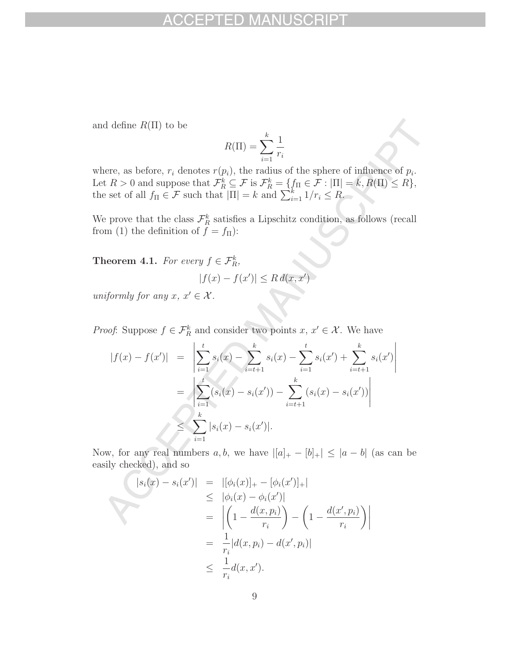and define  $R(\Pi)$  to be

$$
R(\Pi) = \sum_{i=1}^{k} \frac{1}{r_i}
$$

where, as before,  $r_i$  denotes  $r(p_i)$ , the radius of the sphere of influence of  $p_i$ . Let  $R > 0$  and suppose that  $\mathcal{F}_R^k \subseteq \mathcal{F}$  is  $\mathcal{F}_R^k = \{f_\Pi \in \mathcal{F} : |\Pi| = k, R(\Pi) \leq R\},\$ the set of all  $f_{\Pi} \in \mathcal{F}$  such that  $|\Pi| = k$  and  $\sum_{i=1}^{k} 1/r_i \leq R$ .

We prove that the class  $\mathcal{F}_R^k$  satisfies a Lipschitz condition, as follows (recall from (1) the definition of  $\ddot{f} = f_{\Pi}$ ):

**Theorem 4.1.** For every  $f \in \mathcal{F}_R^k$ ,

$$
|f(x) - f(x')| \le R d(x, x')
$$

uniformly for any  $x, x' \in \mathcal{X}$ .

*Proof*: Suppose  $f \in \mathcal{F}_R^k$  and consider two points  $x, x' \in \mathcal{X}$ . We have

$$
|f(x) - f(x')| = \left| \sum_{i=1}^{t} s_i(x) - \sum_{i=t+1}^{k} s_i(x) - \sum_{i=1}^{t} s_i(x') + \sum_{i=t+1}^{k} s_i(x') \right|
$$
  

$$
= \left| \sum_{i=1}^{t} (s_i(x) - s_i(x')) - \sum_{i=t+1}^{k} (s_i(x) - s_i(x')) \right|
$$
  

$$
\leq \sum_{i=1}^{k} |s_i(x) - s_i(x')|.
$$

Now, for any real numbers  $a, b$ , we have  $|[a]_+ - [b]_+| \leq |a - b|$  (as can be easily checked), and so

$$
|s_i(x) - s_i(x')| = |[\phi_i(x)]_+ - [\phi_i(x')]_+|\leq |\phi_i(x) - \phi_i(x')|= \left| \left(1 - \frac{d(x, p_i)}{r_i}\right) - \left(1 - \frac{d(x', p_i)}{r_i}\right) \right|= \frac{1}{r_i} |d(x, p_i) - d(x', p_i)|\leq \frac{1}{r_i} d(x, x').
$$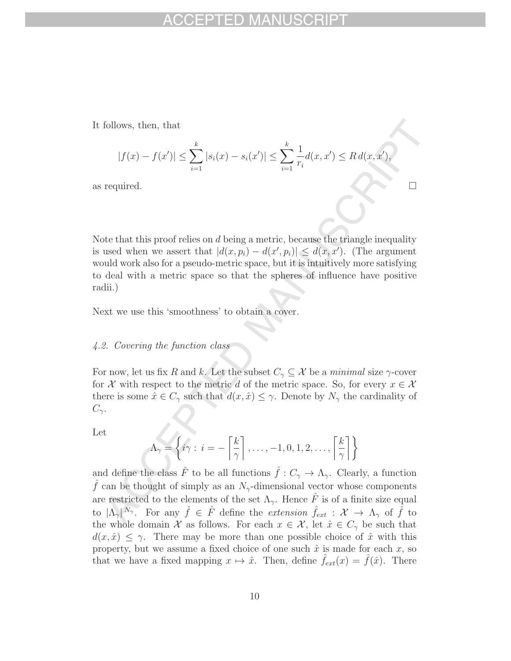It follows, then, that

$$
|f(x) - f(x')| \le \sum_{i=1}^{k} |s_i(x) - s_i(x')| \le \sum_{i=1}^{k} \frac{1}{r_i} d(x, x') \le R d(x, x'),
$$

as required.

Note that this proof relies on  $d$  being a metric, because the triangle inequality is used when we assert that  $|d(x, p_i) - d(x', p_i)| \le d(x, x')$ . (The argument would work also for a pseudo-metric space, but it is intuitively more satisfying to deal with a metric space so that the spheres of influence have positive radii.)

Next we use this 'smoothness' to obtain a cover.

### 4.2. Covering the function class

For now, let us fix R and k. Let the subset  $C_\gamma \subseteq \mathcal{X}$  be a minimal size  $\gamma$ -cover for X with respect to the metric d of the metric space. So, for every  $x \in \mathcal{X}$ there is some  $\hat{x} \in C_{\gamma}$  such that  $d(x, \hat{x}) \leq \gamma$ . Denote by  $N_{\gamma}$  the cardinality of  $C_{\gamma}$ .

Let

$$
\Lambda_{\gamma} = \left\{ i\gamma : i = -\left\lceil \frac{k}{\gamma} \right\rceil, \dots, -1, 0, 1, 2, \dots, \left\lceil \frac{k}{\gamma} \right\rceil \right\}
$$

and define the class  $\hat{F}$  to be all functions  $\hat{f}: C_{\gamma} \to \Lambda_{\gamma}$ . Clearly, a function f can be thought of simply as an  $N_{\gamma}$ -dimensional vector whose components are restricted to the elements of the set  $\Lambda_{\gamma}$ . Hence  $\hat{F}$  is of a finite size equal to  $|\Lambda_{\gamma}|^{N_{\gamma}}$ . For any  $\hat{f} \in \hat{F}$  define the extension  $\hat{f}_{ext} : \mathcal{X} \to \Lambda_{\gamma}$  of  $\hat{f}$  to the whole domain X as follows. For each  $x \in \mathcal{X}$ , let  $\hat{x} \in C_{\gamma}$  be such that  $d(x, \hat{x}) \leq \gamma$ . There may be more than one possible choice of  $\hat{x}$  with this property, but we assume a fixed choice of one such  $\hat{x}$  is made for each x, so that we have a fixed mapping  $x \mapsto \hat{x}$ . Then, define  $\hat{f}_{ext}(x) = \hat{f}(\hat{x})$ . There

 $\Box$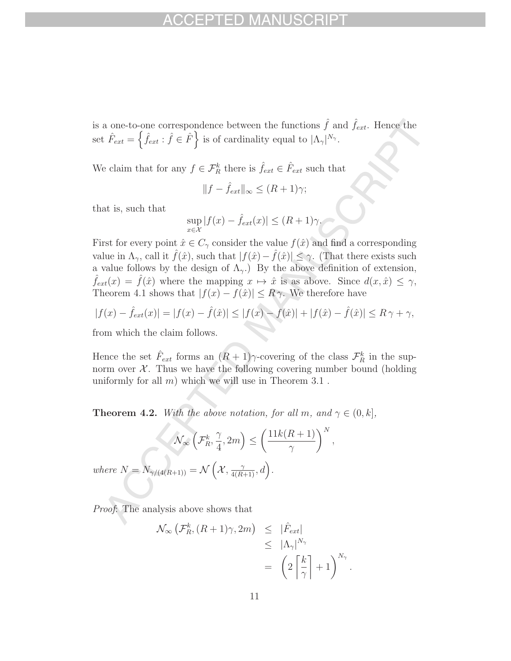is a one-to-one correspondence between the functions  $\hat{f}$  and  $\hat{f}_{ext}$ . Hence the set  $\hat{F}_{ext} = \left\{ \hat{f}_{ext} : \hat{f} \in \hat{F} \right\}$  is of cardinality equal to  $|\Lambda_{\gamma}|^{N_{\gamma}}$ .

We claim that for any  $f \in \mathcal{F}_R^k$  there is  $\hat{f}_{ext} \in \hat{F}_{ext}$  such that

$$
||f - \hat{f}_{ext}||_{\infty} \le (R+1)\gamma;
$$

that is, such that

$$
\sup_{x \in \mathcal{X}} |f(x) - \hat{f}_{ext}(x)| \le (R+1)\gamma.
$$

First for every point  $\hat{x} \in C_{\gamma}$  consider the value  $f(\hat{x})$  and find a corresponding value in  $\Lambda_{\gamma}$ , call it  $\hat{f}(\hat{x})$ , such that  $|f(\hat{x})-\hat{f}(\hat{x})|\leq \gamma$ . (That there exists such a value follows by the design of  $\Lambda_{\gamma}$ .) By the above definition of extension,  $\hat{f}_{ext}(x) = \hat{f}(\hat{x})$  where the mapping  $x \mapsto \hat{x}$  is as above. Since  $d(x, \hat{x}) \leq \gamma$ , Theorem 4.1 shows that  $|f(x) - f(\hat{x})| \leq R \gamma$ . We therefore have

$$
|f(x) - \hat{f}_{ext}(x)| = |f(x) - \hat{f}(\hat{x})| \le |f(x) - f(\hat{x})| + |f(\hat{x}) - \hat{f}(\hat{x})| \le R\gamma + \gamma,
$$

from which the claim follows.

Hence the set  $\hat{F}_{ext}$  forms an  $(R+1)\gamma$ -covering of the class  $\mathcal{F}^k_R$  in the supnorm over  $\mathcal{X}$ . Thus we have the following covering number bound (holding uniformly for all  $m$ ) which we will use in Theorem 3.1.

**Theorem 4.2.** With the above notation, for all m, and  $\gamma \in (0, k]$ ,

$$
\mathcal{N}_{\infty}\left(\mathcal{F}_{R}^{k}, \frac{\gamma}{4}, 2m\right) \le \left(\frac{11k(R+1)}{\gamma}\right)^{N},
$$
  
where  $N = N_{\gamma/(4(R+1))} = \mathcal{N}\left(\mathcal{X}, \frac{\gamma}{4(R+1)}, d\right).$ 

Proof: The analysis above shows that

$$
\mathcal{N}_{\infty} \left( \mathcal{F}_{R}^{k}, (R+1)\gamma, 2m \right) \leq |\hat{F}_{ext}|
$$
  
\n
$$
\leq |\Lambda_{\gamma}|^{N_{\gamma}}
$$
  
\n
$$
= \left( 2 \left[ \frac{k}{\gamma} \right] + 1 \right)^{N_{\gamma}}.
$$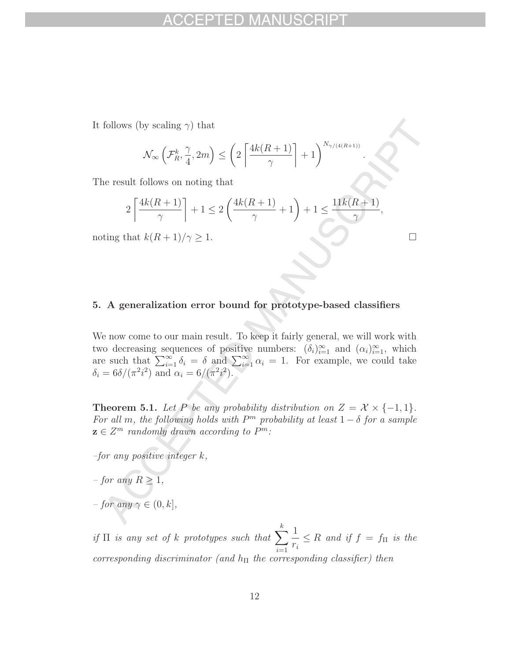It follows (by scaling  $\gamma$ ) that

$$
\mathcal{N}_{\infty}\left(\mathcal{F}_R^k, \frac{\gamma}{4}, 2m\right) \le \left(2\left\lceil \frac{4k(R+1)}{\gamma} \right\rceil + 1\right)^{N_{\gamma/(4(R+1))}}
$$

.

 $\Box$ 

The result follows on noting that

$$
2\left\lceil \frac{4k(R+1)}{\gamma} \right\rceil + 1 \le 2\left(\frac{4k(R+1)}{\gamma} + 1\right) + 1 \le \frac{11k(R+1)}{\gamma},
$$

noting that  $k(R+1)/\gamma \geq 1$ .

### **5. A generalization error bound for prototype-based classifiers**

We now come to our main result. To keep it fairly general, we will work with two decreasing sequences of positive numbers:  $(\delta_i)_{i=1}^{\infty}$  and  $(\alpha_i)_{i=1}^{\infty}$ , which are such that  $\sum_{i=1}^{\infty} \delta_i = \delta$  and  $\sum_{i=1}^{\infty} \alpha_i = 1$ . For example, we could take  $\delta_i = 6\delta/(\pi^2 i^2)$  and  $\alpha_i = 6/(\pi^2 i^2)$ .

**Theorem 5.1.** Let P be any probability distribution on  $Z = \mathcal{X} \times \{-1, 1\}$ . For all m, the following holds with  $P<sup>m</sup>$  probability at least  $1 - \delta$  for a sample  $z \in \mathbb{Z}^m$  randomly drawn according to  $P^m$ :

–for any positive integer k,

- $-$  for any  $R \geq 1$ ,
- $-$  for any  $\gamma \in (0, k],$

if  $\Pi$  is any set of k prototypes such that  $\sum_{n=1}^{k} \frac{1}{n}$ corresponding discriminator (and  $h_{\Pi}$  the corresponding classifier) then  $\frac{1}{r_i} \leq R$  and if  $f = f_{\Pi}$  is the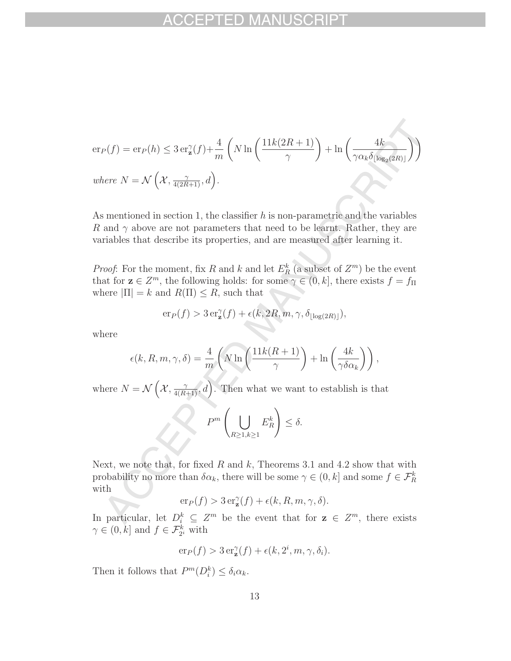$$
\begin{aligned} \mathrm{er}_P(f) &= \mathrm{er}_P(h) \leq 3\,\mathrm{er}_{\mathbf{z}}^{\gamma}(f) + \frac{4}{m}\left(N\ln\left(\frac{11k(2R+1)}{\gamma}\right) + \ln\left(\frac{4k}{\gamma\alpha_k\delta_{\lfloor\log_2(2R)\rfloor}}\right)\right) \\ \text{where } N &= \mathcal{N}\left(\mathcal{X}, \frac{\gamma}{4(2R+1)}, d\right). \end{aligned}
$$

As mentioned in section 1, the classifier  $h$  is non-parametric and the variables R and  $\gamma$  above are not parameters that need to be learnt. Rather, they are variables that describe its properties, and are measured after learning it.

*Proof*: For the moment, fix R and k and let  $E_R^k$  (a subset of  $Z^m$ ) be the event that for  $\mathbf{z} \in \mathbb{Z}^m$ , the following holds: for some  $\gamma \in (0, k]$ , there exists  $f = f_{\Pi}$ where  $|\Pi| = k$  and  $R(\Pi) \leq R$ , such that

$$
\mathrm{er}_P(f) > 3\,\mathrm{er}_{\mathbf{z}}^{\gamma}(f) + \epsilon(k, 2R, m, \gamma, \delta_{\lfloor \log(2R) \rfloor}),
$$

where

$$
\epsilon(k, R, m, \gamma, \delta) = \frac{4}{m} \left( N \ln \left( \frac{11k(R+1)}{\gamma} \right) + \ln \left( \frac{4k}{\gamma \delta \alpha_k} \right) \right),
$$

where  $N = \mathcal{N}\left(\mathcal{X}, \frac{\gamma}{4(R+1)}, d\right)$ . Then what we want to establish is that

$$
P^m\left(\bigcup_{R\geq 1,k\geq 1}E_R^k\right)\leq \delta.
$$

Next, we note that, for fixed R and k, Theorems 3.1 and 4.2 show that with probability no more than  $\delta \alpha_k$ , there will be some  $\gamma \in (0, k]$  and some  $f \in \mathcal{F}_R^k$ with

$$
\mathrm{er}_P(f) > 3\,\mathrm{er}_{\mathbf{z}}^{\gamma}(f) + \epsilon(k, R, m, \gamma, \delta).
$$

In particular, let  $D_i^k \subseteq Z^m$  be the event that for  $z \in Z^m$ , there exists  $\gamma \in (0, k]$  and  $f \in \mathcal{F}_{2^i}^k$  with

$$
\mathrm{er}_P(f) > 3\,\mathrm{er}_{\mathbf{z}}^{\gamma}(f) + \epsilon(k, 2^i, m, \gamma, \delta_i).
$$

Then it follows that  $P^m(D_i^k) \leq \delta_i \alpha_k$ .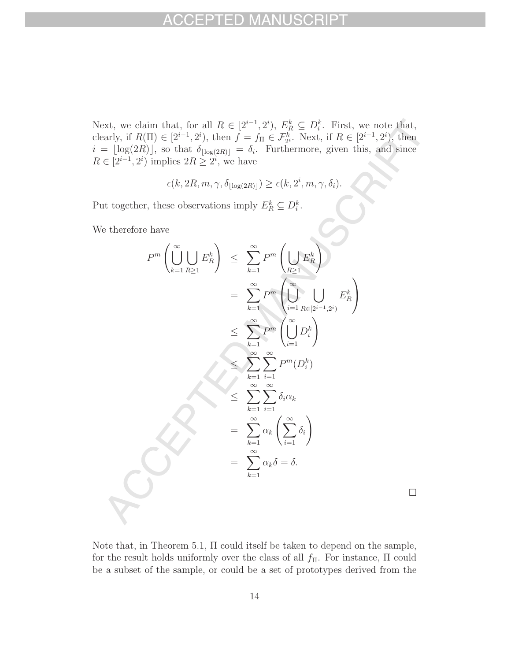Next, we claim that, for all  $R \in [2^{i-1}, 2^i)$ ,  $E_R^k \subseteq D_i^k$ . First, we note that, clearly, if  $R(\Pi) \in [2^{i-1}, 2^i)$ , then  $f = f_{\Pi} \in \mathcal{F}_{2^i}^k$ . Next, if  $R \in [2^{i-1}, 2^i)$ , then  $i = \lfloor \log(2R) \rfloor$  so that  $\delta_{\Pi}$  (so the  $\delta_{\Pi}$  furthermore given this and since  $i = \lfloor \log(2R) \rfloor$ , so that  $\delta_{\lfloor \log(2R) \rfloor} = \delta_i$ . Furthermore, given this, and since  $R \in [2^{i-1}, 2^i)$  implies  $2R \ge 2^i$ , we have

$$
\epsilon(k, 2R, m, \gamma, \delta_{\lfloor \log(2R) \rfloor}) \ge \epsilon(k, 2^i, m, \gamma, \delta_i).
$$

Put together, these observations imply  $E_R^k \subseteq D_i^k$ .

We therefore have

$$
P^{m}\left(\bigcup_{k=1}^{\infty} \bigcup_{R\geq 1} E_{R}^{k}\right) \leq \sum_{k=1}^{\infty} P^{m}\left(\bigcup_{R\geq 1} E_{R}^{k}\right)
$$
  

$$
= \sum_{k=1}^{\infty} P^{m}\left(\bigcup_{i=1}^{\infty} \bigcup_{R\in[2^{i-1},2^{i})} E_{R}^{k}\right)
$$
  

$$
\leq \sum_{k=1}^{\infty} P^{m}\left(\bigcup_{i=1}^{\infty} D_{i}^{k}\right)
$$
  

$$
\leq \sum_{k=1}^{\infty} \sum_{i=1}^{\infty} P^{m}(D_{i}^{k})
$$
  

$$
\leq \sum_{k=1}^{\infty} \sum_{i=1}^{\infty} \delta_{i} \alpha_{k}
$$
  

$$
= \sum_{k=1}^{\infty} \alpha_{k} \left(\sum_{i=1}^{\infty} \delta_{i}\right)
$$
  

$$
= \sum_{k=1}^{\infty} \alpha_{k} \delta = \delta.
$$

Note that, in Theorem 5.1, Π could itself be taken to depend on the sample, for the result holds uniformly over the class of all  $f_{\Pi}$ . For instance,  $\Pi$  could be a subset of the sample, or could be a set of prototypes derived from the

 $\Box$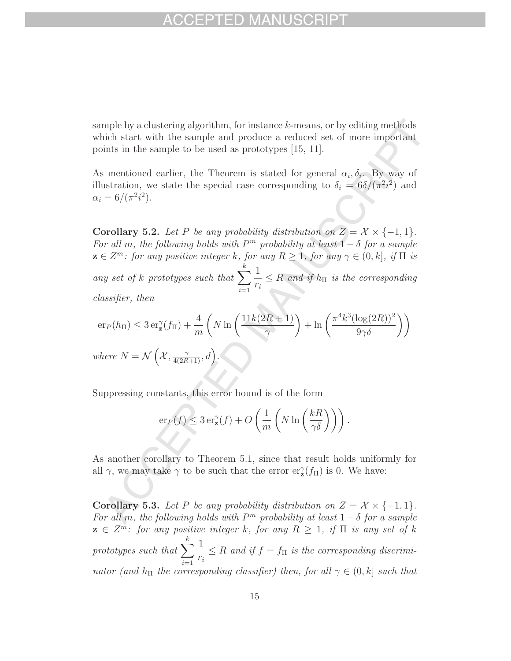sample by a clustering algorithm, for instance k-means, or by editing methods which start with the sample and produce a reduced set of more important points in the sample to be used as prototypes [15, 11].

As mentioned earlier, the Theorem is stated for general  $\alpha_i, \delta_i$ . By way of illustration, we state the special case corresponding to  $\delta_i = 6\delta/(\pi^2 i^2)$  and  $\alpha_i = 6/(\pi^2 i^2).$ 

**Corollary 5.2.** Let P be any probability distribution on  $Z = \mathcal{X} \times \{-1, 1\}$ . For all m, the following holds with  $P^m$  probability at least  $1 - \delta$  for a sample  $z \in Z^m$ : for any positive integer k, for any  $R \geq 1$ , for any  $\gamma \in (0, k]$ , if  $\Pi$  is any set of k prototypes such that  $\sum_{n=1}^k$  $i=1$ 1  $\frac{1}{r_i} \leq R$  and if  $h_{\Pi}$  is the corresponding classifier, then

$$
\begin{aligned}\n\text{er}_P(h_\Pi) &\leq 3 \,\text{er}_\mathbf{z}^\gamma(f_\Pi) + \frac{4}{m} \left( N \ln \left( \frac{11k(2R+1)}{\gamma} \right) + \ln \left( \frac{\pi^4 k^3 (\log(2R))^2}{9\gamma \delta} \right) \right) \\
\text{where } N &= \mathcal{N} \left( \mathcal{X}, \frac{\gamma}{4(2R+1)}, d \right).\n\end{aligned}
$$

Suppressing constants, this error bound is of the form

$$
\mathrm{er}_P(f) \leq 3 \,\mathrm{er}_{\mathbf{z}}^{\gamma}(f) + O\left(\frac{1}{m} \left(N \ln\left(\frac{kR}{\gamma \delta}\right)\right)\right).
$$

As another corollary to Theorem 5.1, since that result holds uniformly for all  $\gamma$ , we may take  $\gamma$  to be such that the error  $er_{\mathbf{z}}^{\gamma}(f_{\Pi})$  is 0. We have:

**Corollary 5.3.** Let P be any probability distribution on  $Z = \mathcal{X} \times \{-1, 1\}$ . For all m, the following holds with  $P<sup>m</sup>$  probability at least  $1 - \delta$  for a sample  $z \in \mathbb{Z}^m$ : for any positive integer k, for any  $R \geq 1$ , if  $\Pi$  is any set of k prototypes such that  $\sum_{k=1}^{k}$  $\frac{i=1}{i}$ 1  $\frac{1}{r_i} \leq R$  and if  $f = f_{\Pi}$  is the corresponding discriminator (and  $h_{\Pi}$  the corresponding classifier) then, for all  $\gamma \in (0, k]$  such that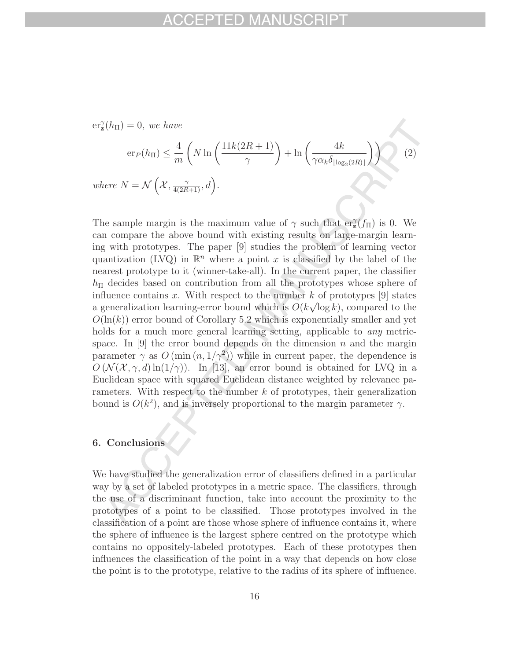$er_{\mathbf{z}}^{\gamma}(h_{\Pi})=0$ , we have

 $where$ 

$$
\operatorname{er}_P(h_{\Pi}) \le \frac{4}{m} \left( N \ln \left( \frac{11k(2R+1)}{\gamma} \right) + \ln \left( \frac{4k}{\gamma \alpha_k \delta_{\lfloor \log_2(2R) \rfloor}} \right) \right) \tag{2}
$$
\n
$$
\operatorname{re} N = \mathcal{N} \left( \mathcal{X}, \frac{\gamma}{4(2R+1)}, d \right).
$$

The sample margin is the maximum value of  $\gamma$  such that  $\text{er}_{\mathcal{I}}^{\gamma}(f_{\Pi})$  is 0. We can compare the above bound with existing results on large-margin learning with prototypes. The paper [9] studies the problem of learning vector quantization (LVQ) in  $\mathbb{R}^n$  where a point x is classified by the label of the nearest prototype to it (winner-take-all). In the current paper, the classifier  $h_{\Pi}$  decides based on contribution from all the prototypes whose sphere of influence contains x. With respect to the number  $k$  of prototypes [9] states minuence contains x. With respect to the number  $\kappa$  or prototypes [9] states<br>a generalization learning-error bound which is  $O(k\sqrt{\log k})$ , compared to the  $O(\ln(k))$  error bound of Corollary 5.2 which is exponentially smaller and yet holds for a much more general learning setting, applicable to *any* metricspace. In [9] the error bound depends on the dimension  $n$  and the margin parameter  $\gamma$  as  $O(\min(n, 1/\gamma^2))$  while in current paper, the dependence is  $O(N(\mathcal{X}, \gamma, d) \ln(1/\gamma))$ . In [13], an error bound is obtained for LVQ in a Euclidean space with squared Euclidean distance weighted by relevance parameters. With respect to the number k of prototypes, their generalization bound is  $O(k^2)$ , and is inversely proportional to the margin parameter  $\gamma$ .

### **6. Conclusions**

We have studied the generalization error of classifiers defined in a particular way by a set of labeled prototypes in a metric space. The classifiers, through the use of a discriminant function, take into account the proximity to the prototypes of a point to be classified. Those prototypes involved in the classification of a point are those whose sphere of influence contains it, where the sphere of influence is the largest sphere centred on the prototype which contains no oppositely-labeled prototypes. Each of these prototypes then influences the classification of the point in a way that depends on how close the point is to the prototype, relative to the radius of its sphere of influence.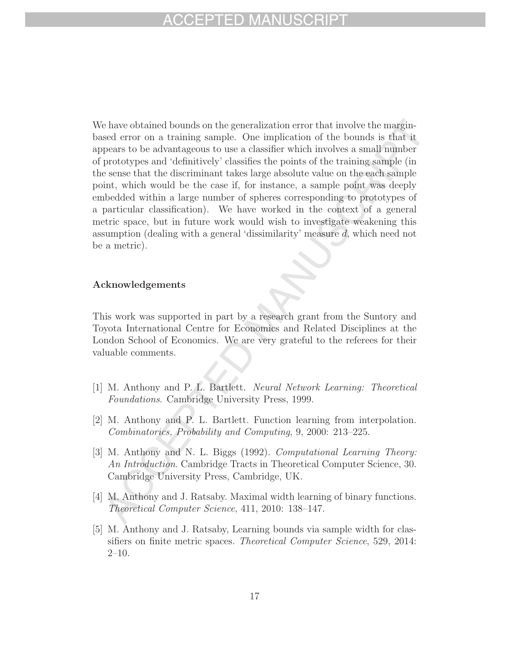# FPTED MA

We have obtained bounds on the generalization error that involve the marginbased error on a training sample. One implication of the bounds is that it appears to be advantageous to use a classifier which involves a small number of prototypes and 'definitively' classifies the points of the training sample (in the sense that the discriminant takes large absolute value on the each sample point, which would be the case if, for instance, a sample point was deeply embedded within a large number of spheres corresponding to prototypes of a particular classification). We have worked in the context of a general metric space, but in future work would wish to investigate weakening this assumption (dealing with a general 'dissimilarity' measure d, which need not be a metric).

### **Acknowledgements**

This work was supported in part by a research grant from the Suntory and Toyota International Centre for Economics and Related Disciplines at the London School of Economics. We are very grateful to the referees for their valuable comments.

- [1] M. Anthony and P. L. Bartlett. Neural Network Learning: Theoretical Foundations. Cambridge University Press, 1999.
- [2] M. Anthony and P. L. Bartlett. Function learning from interpolation. Combinatorics, Probability and Computing, 9, 2000: 213–225.
- [3] M. Anthony and N. L. Biggs (1992). Computational Learning Theory: An Introduction. Cambridge Tracts in Theoretical Computer Science, 30. Cambridge University Press, Cambridge, UK.
- [4] M. Anthony and J. Ratsaby. Maximal width learning of binary functions. Theoretical Computer Science, 411, 2010: 138–147.
- [5] M. Anthony and J. Ratsaby, Learning bounds via sample width for classifiers on finite metric spaces. Theoretical Computer Science, 529, 2014:  $2-10.$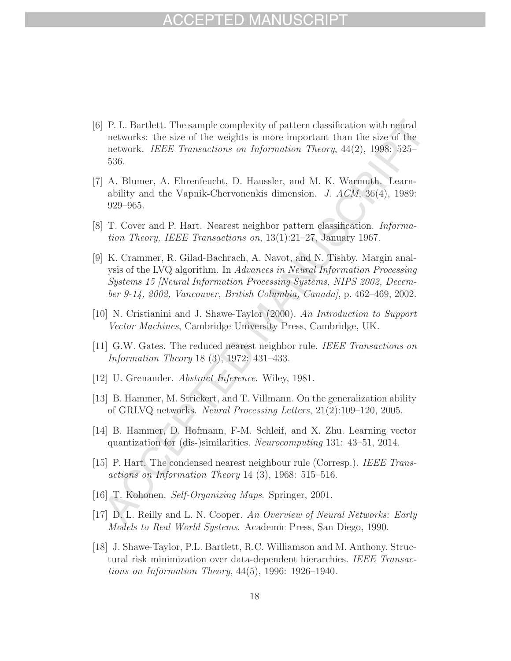# HP I HD MA

- [6] P. L. Bartlett. The sample complexity of pattern classification with neural networks: the size of the weights is more important than the size of the network. IEEE Transactions on Information Theory, 44(2), 1998: 525– 536.
- [7] A. Blumer, A. Ehrenfeucht, D. Haussler, and M. K. Warmuth. Learnability and the Vapnik-Chervonenkis dimension. J. ACM, 36(4), 1989: 929–965.
- [8] T. Cover and P. Hart. Nearest neighbor pattern classification. Information Theory, IEEE Transactions on, 13(1):21–27, January 1967.
- [9] K. Crammer, R. Gilad-Bachrach, A. Navot, and N. Tishby. Margin analysis of the LVQ algorithm. In Advances in Neural Information Processing Systems 15 [Neural Information Processing Systems, NIPS 2002, December 9-14, 2002, Vancouver, British Columbia, Canada], p. 462–469, 2002.
- [10] N. Cristianini and J. Shawe-Taylor (2000). An Introduction to Support Vector Machines, Cambridge University Press, Cambridge, UK.
- [11] G.W. Gates. The reduced nearest neighbor rule. IEEE Transactions on Information Theory 18 (3), 1972: 431–433.
- [12] U. Grenander. Abstract Inference. Wiley, 1981.
- [13] B. Hammer, M. Strickert, and T. Villmann. On the generalization ability of GRLVQ networks. Neural Processing Letters, 21(2):109–120, 2005.
- [14] B. Hammer, D. Hofmann, F-M. Schleif, and X. Zhu. Learning vector quantization for (dis-)similarities. Neurocomputing 131: 43–51, 2014.
- [15] P. Hart. The condensed nearest neighbour rule (Corresp.). IEEE Transactions on Information Theory 14 (3), 1968: 515–516.
- [16] T. Kohonen. Self-Organizing Maps. Springer, 2001.
- [17] D. L. Reilly and L. N. Cooper. An Overview of Neural Networks: Early Models to Real World Systems. Academic Press, San Diego, 1990.
- [18] J. Shawe-Taylor, P.L. Bartlett, R.C. Williamson and M. Anthony. Structural risk minimization over data-dependent hierarchies. IEEE Transactions on Information Theory, 44(5), 1996: 1926–1940.